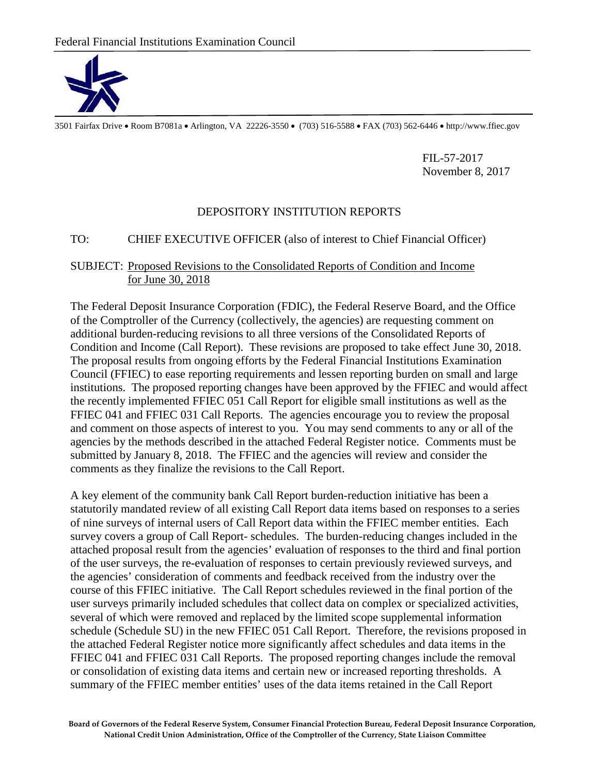

3501 Fairfax Drive • Room B7081a • Arlington, VA 22226-3550 • (703) 516-5588 • FAX (703) 562-6446 • http://www.ffiec.gov

FIL-57-2017 November 8, 2017

## DEPOSITORY INSTITUTION REPORTS

## TO: CHIEF EXECUTIVE OFFICER (also of interest to Chief Financial Officer)

## SUBJECT: Proposed Revisions to the Consolidated Reports of Condition and Income for June 30, 2018

The Federal Deposit Insurance Corporation (FDIC), the Federal Reserve Board, and the Office of the Comptroller of the Currency (collectively, the agencies) are requesting comment on additional burden-reducing revisions to all three versions of the Consolidated Reports of Condition and Income (Call Report). These revisions are proposed to take effect June 30, 2018. The proposal results from ongoing efforts by the Federal Financial Institutions Examination Council (FFIEC) to ease reporting requirements and lessen reporting burden on small and large institutions. The proposed reporting changes have been approved by the FFIEC and would affect the recently implemented FFIEC 051 Call Report for eligible small institutions as well as the FFIEC 041 and FFIEC 031 Call Reports. The agencies encourage you to review the proposal and comment on those aspects of interest to you. You may send comments to any or all of the agencies by the methods described in the attached Federal Register notice. Comments must be submitted by January 8, 2018. The FFIEC and the agencies will review and consider the comments as they finalize the revisions to the Call Report.

A key element of the community bank Call Report burden-reduction initiative has been a statutorily mandated review of all existing Call Report data items based on responses to a series of nine surveys of internal users of Call Report data within the FFIEC member entities. Each survey covers a group of Call Report- schedules. The burden-reducing changes included in the attached proposal result from the agencies' evaluation of responses to the third and final portion of the user surveys, the re-evaluation of responses to certain previously reviewed surveys, and the agencies' consideration of comments and feedback received from the industry over the course of this FFIEC initiative. The Call Report schedules reviewed in the final portion of the user surveys primarily included schedules that collect data on complex or specialized activities, several of which were removed and replaced by the limited scope supplemental information schedule (Schedule SU) in the new FFIEC 051 Call Report. Therefore, the revisions proposed in the attached Federal Register notice more significantly affect schedules and data items in the FFIEC 041 and FFIEC 031 Call Reports. The proposed reporting changes include the removal or consolidation of existing data items and certain new or increased reporting thresholds. A summary of the FFIEC member entities' uses of the data items retained in the Call Report